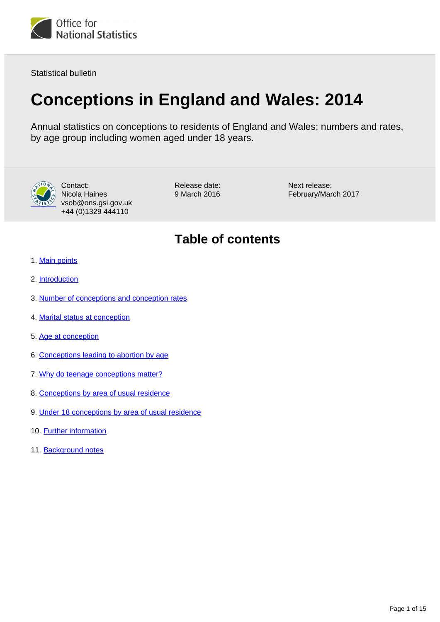

Statistical bulletin

## **Conceptions in England and Wales: 2014**

Annual statistics on conceptions to residents of England and Wales; numbers and rates, by age group including women aged under 18 years.



Contact: Nicola Haines vsob@ons.gsi.gov.uk +44 (0)1329 444110

Release date: 9 March 2016

Next release: February/March 2017

### **Table of contents**

- 1. [Main points](#page-1-0)
- 2. [Introduction](#page-1-1)
- 3. [Number of conceptions and conception rates](#page-1-2)
- 4. [Marital status at conception](#page-3-0)
- 5. [Age at conception](#page-3-1)
- 6. [Conceptions leading to abortion by age](#page-6-0)
- 7. [Why do teenage conceptions matter?](#page-7-0)
- 8. [Conceptions by area of usual residence](#page-8-0)
- 9. [Under 18 conceptions by area of usual residence](#page-8-1)
- 10. [Further information](#page-11-0)
- 11. Background notes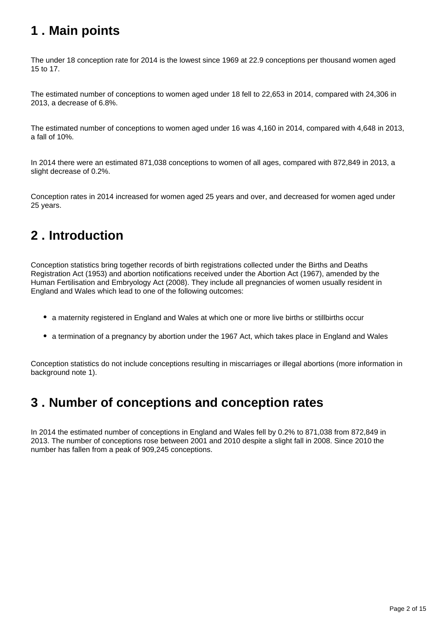### <span id="page-1-0"></span>**1 . Main points**

The under 18 conception rate for 2014 is the lowest since 1969 at 22.9 conceptions per thousand women aged 15 to 17.

The estimated number of conceptions to women aged under 18 fell to 22,653 in 2014, compared with 24,306 in 2013, a decrease of 6.8%.

The estimated number of conceptions to women aged under 16 was 4,160 in 2014, compared with 4,648 in 2013, a fall of 10%.

In 2014 there were an estimated 871,038 conceptions to women of all ages, compared with 872,849 in 2013, a slight decrease of 0.2%.

Conception rates in 2014 increased for women aged 25 years and over, and decreased for women aged under 25 years.

### <span id="page-1-1"></span>**2 . Introduction**

Conception statistics bring together records of birth registrations collected under the Births and Deaths Registration Act (1953) and abortion notifications received under the Abortion Act (1967), amended by the Human Fertilisation and Embryology Act (2008). They include all pregnancies of women usually resident in England and Wales which lead to one of the following outcomes:

- a maternity registered in England and Wales at which one or more live births or stillbirths occur
- a termination of a pregnancy by abortion under the 1967 Act, which takes place in England and Wales

Conception statistics do not include conceptions resulting in miscarriages or illegal abortions (more information in background note 1).

### <span id="page-1-2"></span>**3 . Number of conceptions and conception rates**

In 2014 the estimated number of conceptions in England and Wales fell by 0.2% to 871,038 from 872,849 in 2013. The number of conceptions rose between 2001 and 2010 despite a slight fall in 2008. Since 2010 the number has fallen from a peak of 909,245 conceptions.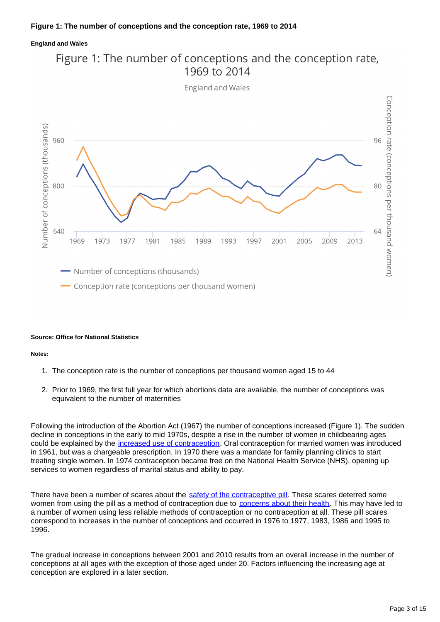#### **England and Wales**



# Figure 1: The number of conceptions and the conception rate,

#### **Source: Office for National Statistics**

#### **Notes:**

- 1. The conception rate is the number of conceptions per thousand women aged 15 to 44
- 2. Prior to 1969, the first full year for which abortions data are available, the number of conceptions was equivalent to the number of maternities

Following the introduction of the Abortion Act (1967) the number of conceptions increased (Figure 1). The sudden decline in conceptions in the early to mid 1970s, despite a rise in the number of women in childbearing ages could be explained by the [increased use of contraception.](http://www.ncbi.nlm.nih.gov/pmc/articles/PMC1297204/?page=1) Oral contraception for married women was introduced in 1961, but was a chargeable prescription. In 1970 there was a mandate for family planning clinics to start treating single women. In 1974 contraception became free on the National Health Service (NHS), opening up services to women regardless of marital status and ability to pay.

There have been a number of scares about the [safety of the contraceptive pill.](http://www.ncbi.nlm.nih.gov/pmc/articles/PMC1297204/?page=1) These scares deterred some women from using the pill as a method of contraception due to [concerns about their health](http://webarchive.nationalarchives.gov.uk/20160105160709/http:/www.ons.gov.uk/ons/rel/population-trends-rd/population-trends/no--89--autumn-1997/index.html). This may have led to a number of women using less reliable methods of contraception or no contraception at all. These pill scares correspond to increases in the number of conceptions and occurred in 1976 to 1977, 1983, 1986 and 1995 to 1996.

The gradual increase in conceptions between 2001 and 2010 results from an overall increase in the number of conceptions at all ages with the exception of those aged under 20. Factors influencing the increasing age at conception are explored in a later section.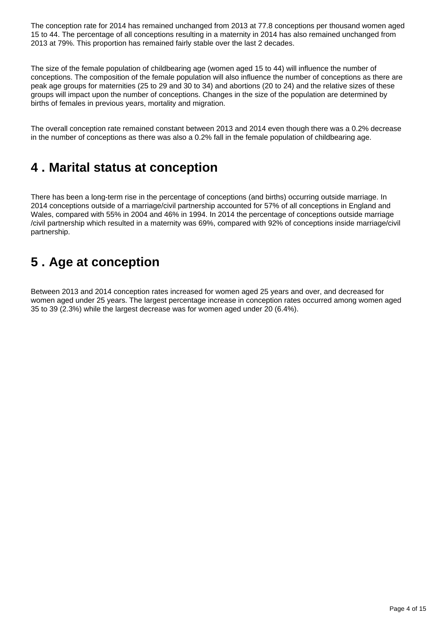The conception rate for 2014 has remained unchanged from 2013 at 77.8 conceptions per thousand women aged 15 to 44. The percentage of all conceptions resulting in a maternity in 2014 has also remained unchanged from 2013 at 79%. This proportion has remained fairly stable over the last 2 decades.

The size of the female population of childbearing age (women aged 15 to 44) will influence the number of conceptions. The composition of the female population will also influence the number of conceptions as there are peak age groups for maternities (25 to 29 and 30 to 34) and abortions (20 to 24) and the relative sizes of these groups will impact upon the number of conceptions. Changes in the size of the population are determined by births of females in previous years, mortality and migration.

The overall conception rate remained constant between 2013 and 2014 even though there was a 0.2% decrease in the number of conceptions as there was also a 0.2% fall in the female population of childbearing age.

### <span id="page-3-0"></span>**4 . Marital status at conception**

There has been a long-term rise in the percentage of conceptions (and births) occurring outside marriage. In 2014 conceptions outside of a marriage/civil partnership accounted for 57% of all conceptions in England and Wales, compared with 55% in 2004 and 46% in 1994. In 2014 the percentage of conceptions outside marriage /civil partnership which resulted in a maternity was 69%, compared with 92% of conceptions inside marriage/civil partnership.

### <span id="page-3-1"></span>**5 . Age at conception**

Between 2013 and 2014 conception rates increased for women aged 25 years and over, and decreased for women aged under 25 years. The largest percentage increase in conception rates occurred among women aged 35 to 39 (2.3%) while the largest decrease was for women aged under 20 (6.4%).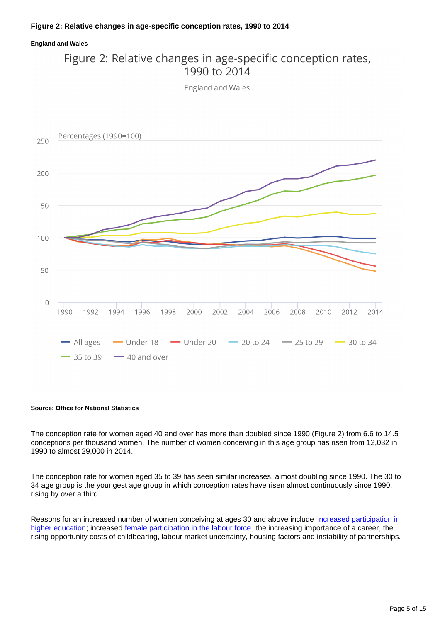#### **England and Wales**

### Figure 2: Relative changes in age-specific conception rates, 1990 to 2014

England and Wales



#### **Source: Office for National Statistics**

The conception rate for women aged 40 and over has more than doubled since 1990 (Figure 2) from 6.6 to 14.5 conceptions per thousand women. The number of women conceiving in this age group has risen from 12,032 in 1990 to almost 29,000 in 2014.

The conception rate for women aged 35 to 39 has seen similar increases, almost doubling since 1990. The 30 to 34 age group is the youngest age group in which conception rates have risen almost continuously since 1990, rising by over a third.

Reasons for an increased number of women conceiving at ages 30 and above include increased participation in [higher education;](http://www.tandfonline.com/doi/pdf/10.1080/00324728.2012.697569) increased [female participation in the labour force,](http://webarchive.nationalarchives.gov.uk/20160105160709/http:/www.ons.gov.uk/ons/rel/population-trends-rd/population-trends/no--131--spring-2008/index.html) the increasing importance of a career, the rising opportunity costs of childbearing, labour market uncertainty, housing factors and instability of partnerships.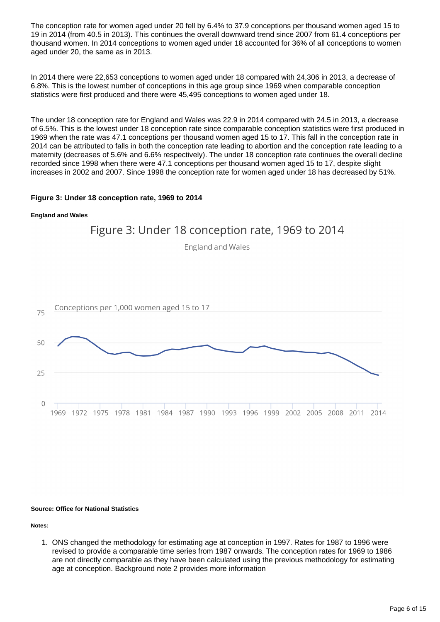The conception rate for women aged under 20 fell by 6.4% to 37.9 conceptions per thousand women aged 15 to 19 in 2014 (from 40.5 in 2013). This continues the overall downward trend since 2007 from 61.4 conceptions per thousand women. In 2014 conceptions to women aged under 18 accounted for 36% of all conceptions to women aged under 20, the same as in 2013.

In 2014 there were 22,653 conceptions to women aged under 18 compared with 24,306 in 2013, a decrease of 6.8%. This is the lowest number of conceptions in this age group since 1969 when comparable conception statistics were first produced and there were 45,495 conceptions to women aged under 18.

The under 18 conception rate for England and Wales was 22.9 in 2014 compared with 24.5 in 2013, a decrease of 6.5%. This is the lowest under 18 conception rate since comparable conception statistics were first produced in 1969 when the rate was 47.1 conceptions per thousand women aged 15 to 17. This fall in the conception rate in 2014 can be attributed to falls in both the conception rate leading to abortion and the conception rate leading to a maternity (decreases of 5.6% and 6.6% respectively). The under 18 conception rate continues the overall decline recorded since 1998 when there were 47.1 conceptions per thousand women aged 15 to 17, despite slight increases in 2002 and 2007. Since 1998 the conception rate for women aged under 18 has decreased by 51%.

### **Figure 3: Under 18 conception rate, 1969 to 2014**

#### **England and Wales**



#### **Source: Office for National Statistics**

**Notes:**

1. ONS changed the methodology for estimating age at conception in 1997. Rates for 1987 to 1996 were revised to provide a comparable time series from 1987 onwards. The conception rates for 1969 to 1986 are not directly comparable as they have been calculated using the previous methodology for estimating age at conception. Background note 2 provides more information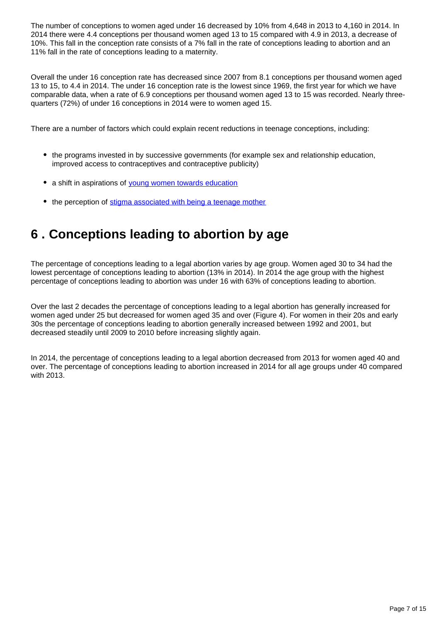The number of conceptions to women aged under 16 decreased by 10% from 4,648 in 2013 to 4,160 in 2014. In 2014 there were 4.4 conceptions per thousand women aged 13 to 15 compared with 4.9 in 2013, a decrease of 10%. This fall in the conception rate consists of a 7% fall in the rate of conceptions leading to abortion and an 11% fall in the rate of conceptions leading to a maternity.

Overall the under 16 conception rate has decreased since 2007 from 8.1 conceptions per thousand women aged 13 to 15, to 4.4 in 2014. The under 16 conception rate is the lowest since 1969, the first year for which we have comparable data, when a rate of 6.9 conceptions per thousand women aged 13 to 15 was recorded. Nearly threequarters (72%) of under 16 conceptions in 2014 were to women aged 15.

There are a number of factors which could explain recent reductions in teenage conceptions, including:

- the programs invested in by successive governments (for example sex and relationship education, improved access to contraceptives and contraceptive publicity)
- a shift in aspirations of [young women towards education](http://webarchive.nationalarchives.gov.uk/20121212135622/http:/www.bis.gov.uk/assets/biscore/corporate/migratedD/publications/D/DIUS_RR_08_14)
- the perception of [stigma associated with being a teenage mother](http://www.sphsu.mrc.ac.uk/Evidence/Research/Review%2010/SR%20Executive%20Summary.pdf)

### <span id="page-6-0"></span>**6 . Conceptions leading to abortion by age**

The percentage of conceptions leading to a legal abortion varies by age group. Women aged 30 to 34 had the lowest percentage of conceptions leading to abortion (13% in 2014). In 2014 the age group with the highest percentage of conceptions leading to abortion was under 16 with 63% of conceptions leading to abortion.

Over the last 2 decades the percentage of conceptions leading to a legal abortion has generally increased for women aged under 25 but decreased for women aged 35 and over (Figure 4). For women in their 20s and early 30s the percentage of conceptions leading to abortion generally increased between 1992 and 2001, but decreased steadily until 2009 to 2010 before increasing slightly again.

In 2014, the percentage of conceptions leading to a legal abortion decreased from 2013 for women aged 40 and over. The percentage of conceptions leading to abortion increased in 2014 for all age groups under 40 compared with 2013.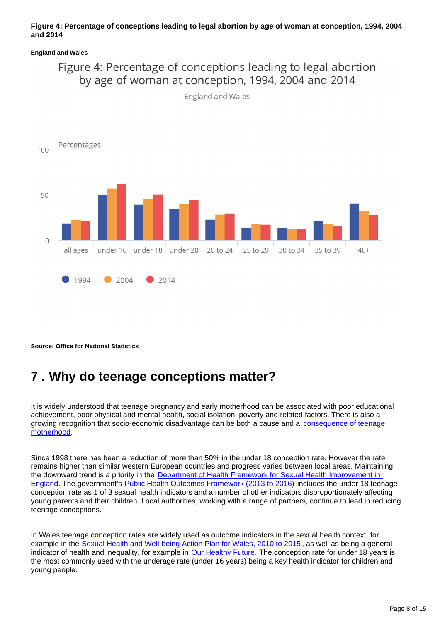#### **Figure 4: Percentage of conceptions leading to legal abortion by age of woman at conception, 1994, 2004 and 2014**

#### **England and Wales**

### Figure 4: Percentage of conceptions leading to legal abortion by age of woman at conception, 1994, 2004 and 2014



England and Wales

**Source: Office for National Statistics**

### <span id="page-7-0"></span>**7 . Why do teenage conceptions matter?**

It is widely understood that teenage pregnancy and early motherhood can be associated with poor educational achievement, poor physical and mental health, social isolation, poverty and related factors. There is also a growing recognition that socio-economic disadvantage can be both a cause and a consequence of teenage [motherhood.](http://www.chimat.org.uk/teenconceptions)

Since 1998 there has been a reduction of more than 50% in the under 18 conception rate. However the rate remains higher than similar western European countries and progress varies between local areas. Maintaining the downward trend is a priority in the [Department of Health Framework for Sexual Health Improvement in](https://www.gov.uk/government/publications/a-framework-for-sexual-health-improvement-in-england)  [England.](https://www.gov.uk/government/publications/a-framework-for-sexual-health-improvement-in-england) The government's [Public Health Outcomes Framework \(2013 to 2016\)](http://webarchive.nationalarchives.gov.uk/20160105160709/https://www.gov.uk/government/publications/healthy-lives-healthy-people-improving-outcomes-and-supporting-transparency) includes the under 18 teenage conception rate as 1 of 3 sexual health indicators and a number of other indicators disproportionately affecting young parents and their children. Local authorities, working with a range of partners, continue to lead in reducing teenage conceptions.

In Wales teenage conception rates are widely used as outcome indicators in the sexual health context, for example in the [Sexual Health and Well-being Action Plan for Wales, 2010 to 2015](http://www.shnwales.org.uk/Documents/485/Strategy%20(English).pdf), as well as being a general indicator of health and inequality, for example in [Our Healthy Future](http://wales.gov.uk/topics/health/cmo/healthy/?lang=en). The conception rate for under 18 years is the most commonly used with the underage rate (under 16 years) being a key health indicator for children and young people.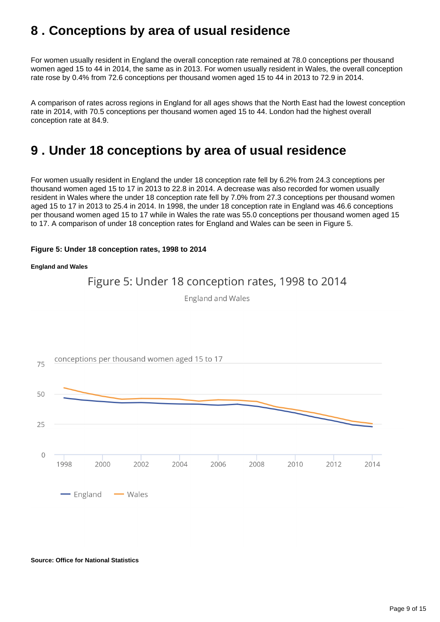### <span id="page-8-0"></span>**8 . Conceptions by area of usual residence**

For women usually resident in England the overall conception rate remained at 78.0 conceptions per thousand women aged 15 to 44 in 2014, the same as in 2013. For women usually resident in Wales, the overall conception rate rose by 0.4% from 72.6 conceptions per thousand women aged 15 to 44 in 2013 to 72.9 in 2014.

A comparison of rates across regions in England for all ages shows that the North East had the lowest conception rate in 2014, with 70.5 conceptions per thousand women aged 15 to 44. London had the highest overall conception rate at 84.9.

### <span id="page-8-1"></span>**9 . Under 18 conceptions by area of usual residence**

For women usually resident in England the under 18 conception rate fell by 6.2% from 24.3 conceptions per thousand women aged 15 to 17 in 2013 to 22.8 in 2014. A decrease was also recorded for women usually resident in Wales where the under 18 conception rate fell by 7.0% from 27.3 conceptions per thousand women aged 15 to 17 in 2013 to 25.4 in 2014. In 1998, the under 18 conception rate in England was 46.6 conceptions per thousand women aged 15 to 17 while in Wales the rate was 55.0 conceptions per thousand women aged 15 to 17. A comparison of under 18 conception rates for England and Wales can be seen in Figure 5.

### **Figure 5: Under 18 conception rates, 1998 to 2014**

#### **England and Wales**



#### **Source: Office for National Statistics**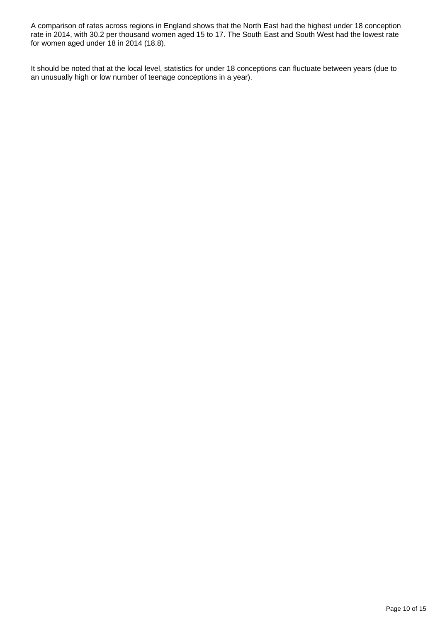A comparison of rates across regions in England shows that the North East had the highest under 18 conception rate in 2014, with 30.2 per thousand women aged 15 to 17. The South East and South West had the lowest rate for women aged under 18 in 2014 (18.8).

It should be noted that at the local level, statistics for under 18 conceptions can fluctuate between years (due to an unusually high or low number of teenage conceptions in a year).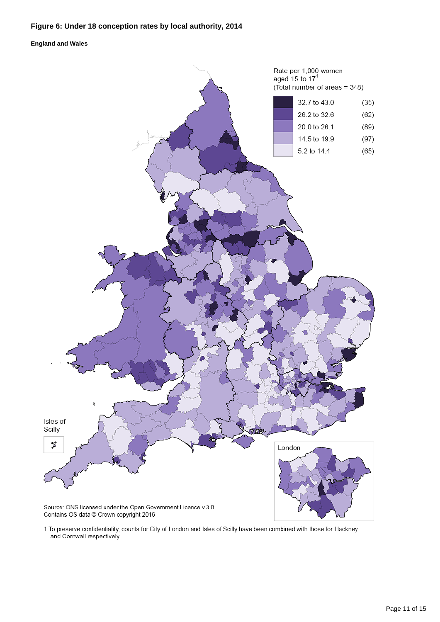### **Figure 6: Under 18 conception rates by local authority, 2014**

#### **England and Wales**



1 To preserve confidentiality, counts for City of London and Isles of Scilly have been combined with those for Hackney and Cornwall respectively.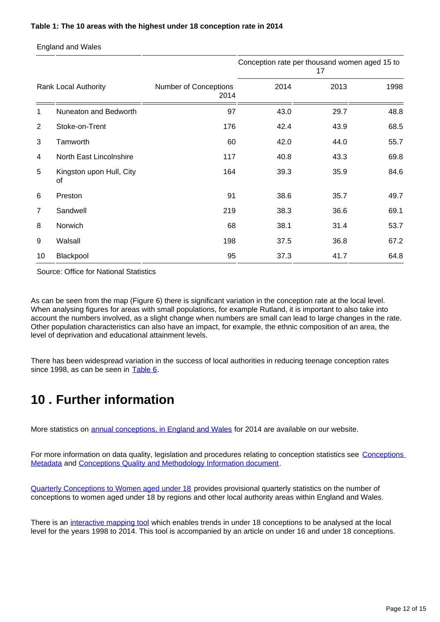#### **Table 1: The 10 areas with the highest under 18 conception rate in 2014**

England and Wales

|                      |                                |                                      | Conception rate per thousand women aged 15 to<br>17 |      |      |
|----------------------|--------------------------------|--------------------------------------|-----------------------------------------------------|------|------|
| Rank Local Authority |                                | <b>Number of Conceptions</b><br>2014 | 2014                                                | 2013 | 1998 |
| 1                    | Nuneaton and Bedworth          | 97                                   | 43.0                                                | 29.7 | 48.8 |
| $\overline{2}$       | Stoke-on-Trent                 | 176                                  | 42.4                                                | 43.9 | 68.5 |
| 3                    | Tamworth                       | 60                                   | 42.0                                                | 44.0 | 55.7 |
| 4                    | North East Lincolnshire        | 117                                  | 40.8                                                | 43.3 | 69.8 |
| 5                    | Kingston upon Hull, City<br>0f | 164                                  | 39.3                                                | 35.9 | 84.6 |
| 6                    | Preston                        | 91                                   | 38.6                                                | 35.7 | 49.7 |
| 7                    | Sandwell                       | 219                                  | 38.3                                                | 36.6 | 69.1 |
| 8                    | Norwich                        | 68                                   | 38.1                                                | 31.4 | 53.7 |
| 9                    | Walsall                        | 198                                  | 37.5                                                | 36.8 | 67.2 |
| 10                   | Blackpool                      | 95                                   | 37.3                                                | 41.7 | 64.8 |

Source: Office for National Statistics

As can be seen from the map (Figure 6) there is significant variation in the conception rate at the local level. When analysing figures for areas with small populations, for example Rutland, it is important to also take into account the numbers involved, as a slight change when numbers are small can lead to large changes in the rate. Other population characteristics can also have an impact, for example, the ethnic composition of an area, the level of deprivation and educational attainment levels.

There has been widespread variation in the success of local authorities in reducing teenage conception rates since 1998, as can be seen in [Table 6.](https://www.ons.gov.uk/file?uri=/peoplepopulationandcommunity/birthsdeathsandmarriages/conceptionandfertilityrates/datasets/conceptionstatisticsenglandandwalesreferencetables/2014/conceptionstatisticstables2014final.xls)

### <span id="page-11-0"></span>**10 . Further information**

More statistics on [annual conceptions, in England and Wales](http://www.ons.gov.uk/peoplepopulationandcommunity/birthsdeathsandmarriages/conceptionandfertilityrates/datasets/conceptionstatisticsenglandandwalesreferencetables) for 2014 are available on our website.

For more information on data quality, legislation and procedures relating to conception statistics see Conceptions [Metadata](http://www.ons.gov.uk/peoplepopulationandcommunity/birthsdeathsandmarriages/conceptionandfertilityrates/methodologies/conceptionsmetadata2014) and [Conceptions Quality and Methodology Information document](http://www.ons.gov.uk/peoplepopulationandcommunity/birthsdeathsandmarriages/conceptionandfertilityrates/qmis/conceptionstatisticsqmi).

[Quarterly Conceptions to Women aged under 18](http://www.ons.gov.uk/peoplepopulationandcommunity/birthsdeathsandmarriages/conceptionandfertilityrates/datasets/quarterlyconceptionstowomenagedunder18englandandwales) provides provisional quarterly statistics on the number of conceptions to women aged under 18 by regions and other local authority areas within England and Wales.

There is an [interactive mapping tool](http://www.neighbourhood.statistics.gov.uk/HTMLDocs/dvc311/map/map.html) which enables trends in under 18 conceptions to be analysed at the local level for the years 1998 to 2014. This tool is accompanied by an article on under 16 and under 18 conceptions.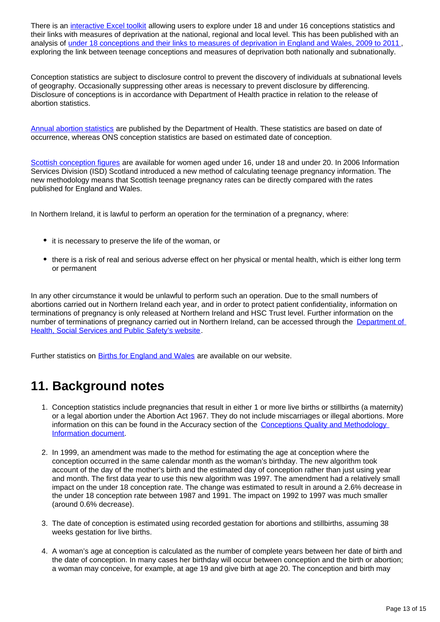There is an [interactive Excel toolkit](http://www.neighbourhood.statistics.gov.uk/HTMLDocs/conceptions/Conceptions-Deprivation-Analysis-Toolkit-v1-1-Jan-2014.xlsm) allowing users to explore under 18 and under 16 conceptions statistics and their links with measures of deprivation at the national, regional and local level. This has been published with an analysis of [under 18 conceptions and their links to measures of deprivation in England and Wales, 2009 to 2011](http://webarchive.nationalarchives.gov.uk/20160105160709/http:/www.ons.gov.uk/ons/rel/regional-trends/area-based-analysis/conceptions-deprivation-analysis-toolkit/index.html) , exploring the link between teenage conceptions and measures of deprivation both nationally and subnationally.

Conception statistics are subject to disclosure control to prevent the discovery of individuals at subnational levels of geography. Occasionally suppressing other areas is necessary to prevent disclosure by differencing. Disclosure of conceptions is in accordance with Department of Health practice in relation to the release of abortion statistics.

[Annual abortion statistics](https://www.gov.uk/government/collections/abortion-statistics-for-england-and-wales) are published by the Department of Health. These statistics are based on date of occurrence, whereas ONS conception statistics are based on estimated date of conception.

[Scottish conception figures](http://www.isdscotland.org/Health-Topics/Maternity-and-Births/Teenage-Pregnancy/) are available for women aged under 16, under 18 and under 20. In 2006 Information Services Division (ISD) Scotland introduced a new method of calculating teenage pregnancy information. The new methodology means that Scottish teenage pregnancy rates can be directly compared with the rates published for England and Wales.

In Northern Ireland, it is lawful to perform an operation for the termination of a pregnancy, where:

- it is necessary to preserve the life of the woman, or
- there is a risk of real and serious adverse effect on her physical or mental health, which is either long term or permanent

In any other circumstance it would be unlawful to perform such an operation. Due to the small numbers of abortions carried out in Northern Ireland each year, and in order to protect patient confidentiality, information on terminations of pregnancy is only released at Northern Ireland and HSC Trust level. Further information on the number of terminations of pregnancy carried out in Northern Ireland, can be accessed through the [Department of](https://www.dhsspsni.gov.uk/articles/termination-pregnancy)  [Health, Social Services and Public Safety's website.](https://www.dhsspsni.gov.uk/articles/termination-pregnancy)

Further statistics on **[Births for England and Wales](http://www.ons.gov.uk/peoplepopulationandcommunity/birthsdeathsandmarriages/livebirths)** are available on our website.

### **11. Background notes**

- 1. Conception statistics include pregnancies that result in either 1 or more live births or stillbirths (a maternity) or a legal abortion under the Abortion Act 1967. They do not include miscarriages or illegal abortions. More information on this can be found in the Accuracy section of the Conceptions Quality and Methodology [Information document](http://www.ons.gov.uk/peoplepopulationandcommunity/birthsdeathsandmarriages/conceptionandfertilityrates/qmis/conceptionstatisticsqmi).
- 2. In 1999, an amendment was made to the method for estimating the age at conception where the conception occurred in the same calendar month as the woman's birthday. The new algorithm took account of the day of the mother's birth and the estimated day of conception rather than just using year and month. The first data year to use this new algorithm was 1997. The amendment had a relatively small impact on the under 18 conception rate. The change was estimated to result in around a 2.6% decrease in the under 18 conception rate between 1987 and 1991. The impact on 1992 to 1997 was much smaller (around 0.6% decrease).
- 3. The date of conception is estimated using recorded gestation for abortions and stillbirths, assuming 38 weeks gestation for live births.
- 4. A woman's age at conception is calculated as the number of complete years between her date of birth and the date of conception. In many cases her birthday will occur between conception and the birth or abortion; a woman may conceive, for example, at age 19 and give birth at age 20. The conception and birth may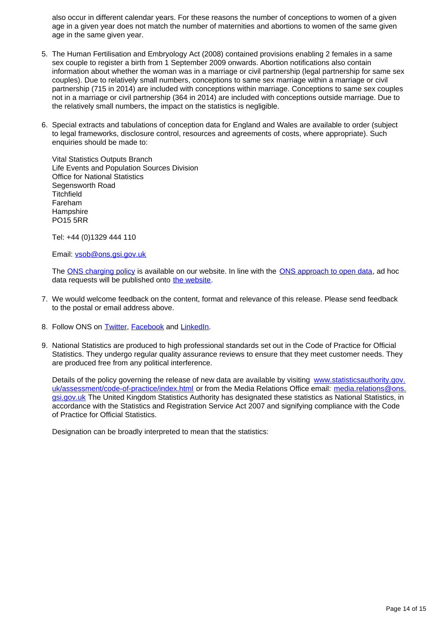also occur in different calendar years. For these reasons the number of conceptions to women of a given age in a given year does not match the number of maternities and abortions to women of the same given age in the same given year.

- 5. The Human Fertilisation and Embryology Act (2008) contained provisions enabling 2 females in a same sex couple to register a birth from 1 September 2009 onwards. Abortion notifications also contain information about whether the woman was in a marriage or civil partnership (legal partnership for same sex couples). Due to relatively small numbers, conceptions to same sex marriage within a marriage or civil partnership (715 in 2014) are included with conceptions within marriage. Conceptions to same sex couples not in a marriage or civil partnership (364 in 2014) are included with conceptions outside marriage. Due to the relatively small numbers, the impact on the statistics is negligible.
- 6. Special extracts and tabulations of conception data for England and Wales are available to order (subject to legal frameworks, disclosure control, resources and agreements of costs, where appropriate). Such enquiries should be made to:

Vital Statistics Outputs Branch Life Events and Population Sources Division Office for National Statistics Segensworth Road **Titchfield** Fareham **Hampshire** PO15 5RR

Tel: +44 (0)1329 444 110

Email: vsob@ons.gsi.gov.uk

The [ONS charging policy](http://www.ons.gov.uk/aboutus/whatwedo/statistics/publicationscheme) is available on our website. In line with the [ONS approach to open data](http://www.ons.gov.uk/ons/guide-method/best-practice/open-data/index.html), ad hoc data requests will be published onto [the website.](http://www.ons.gov.uk/aboutus/whatwedo/statistics/requestingstatistics/alladhocs)

- 7. We would welcome feedback on the content, format and relevance of this release. Please send feedback to the postal or email address above.
- 8. Follow ONS on [Twitter,](http://www.twitter.com/statisticsONS) [Facebook](http://www.facebook.com/statisticsONS) and [LinkedIn.](https://www.linkedin.com/company/office-for-national-statistics)
- 9. National Statistics are produced to high professional standards set out in the Code of Practice for Official Statistics. They undergo regular quality assurance reviews to ensure that they meet customer needs. They are produced free from any political interference.

Details of the policy governing the release of new data are available by visiting [www.statisticsauthority.gov.](http://www.statisticsauthority.gov.uk/assessment/code-of-practice/index.html) [uk/assessment/code-of-practice/index.html](http://www.statisticsauthority.gov.uk/assessment/code-of-practice/index.html) or from the Media Relations Office email: media.relations@ons. gsi.gov.uk The United Kingdom Statistics Authority has designated these statistics as National Statistics, in accordance with the Statistics and Registration Service Act 2007 and signifying compliance with the Code of Practice for Official Statistics.

Designation can be broadly interpreted to mean that the statistics: